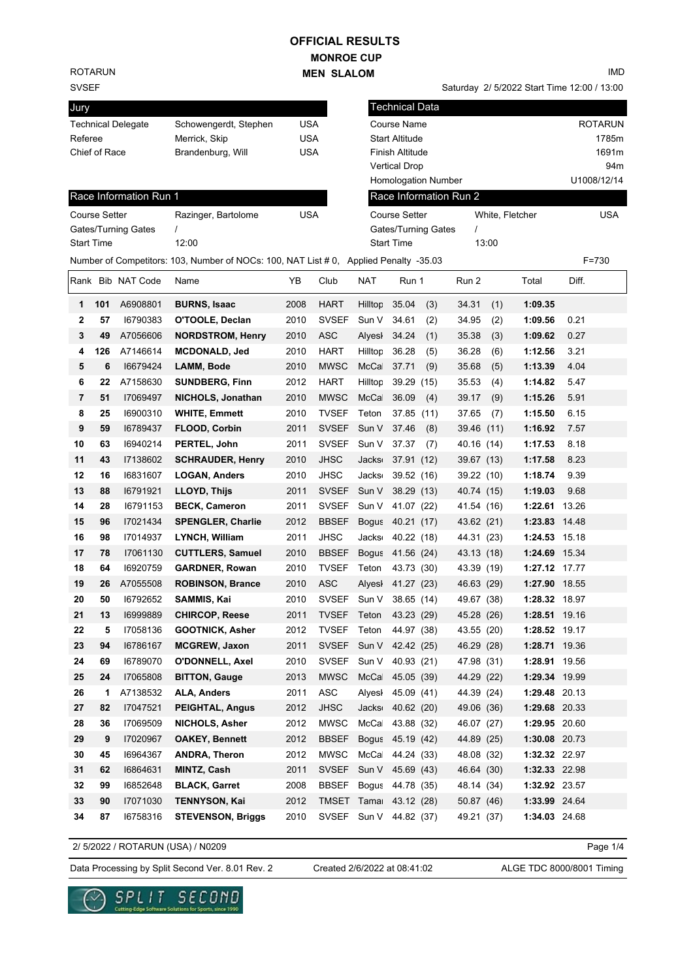## **MONROE CUP MEN SLALOM OFFICIAL RESULTS**

ROTARUN

#### SVSEF

| Jury                      |                       |     |
|---------------------------|-----------------------|-----|
| <b>Technical Delegate</b> | Schowengerdt, Stephen | USA |
| Referee                   | Merrick, Skip         | USA |
| Chief of Race             | Brandenburg, Will     | USA |
|                           |                       |     |

### Race Information Ru

| Course Setter<br>Start Time |     | Gates/Turning Gates | Razinger, Bartolome<br>12:00<br>Number of Competitors: 103, Number of NOCs: 100, NAT List # 0, | <b>USA</b> |                  |
|-----------------------------|-----|---------------------|------------------------------------------------------------------------------------------------|------------|------------------|
|                             |     | Rank Bib NAT Code   | Name                                                                                           | YB         | Club             |
| 1                           | 101 | A6908801            | <b>BURNS, Isaac</b>                                                                            | 2008       | HAR <sup>1</sup> |
| 2                           | 57  | 16790383            | O'TOOLE, Declan                                                                                | 2010       | <b>SVSE</b>      |
| 3                           | 49  | A7056606            | <b>NORDSTROM, Henry</b>                                                                        | 2010       | ASC.             |
| 4                           | 126 | A7146614            | <b>MCDONALD, Jed</b>                                                                           | 2010       | HAR <sup>1</sup> |
| 5                           | 6   | 16679424            | LAMM, Bode                                                                                     | 2010       | <b>MWS</b>       |
| 6                           | 22  | A7158630            | <b>SUNDBERG, Finn</b>                                                                          | 2012       | HAR <sup>1</sup> |
| 7                           | 51  | 17069497            | NICHOLS, Jonathan                                                                              | 2010       | <b>MWS</b>       |
| 8                           | 25  | 16900310            | <b>WHITE, Emmett</b>                                                                           | 2010       | <b>TVSE</b>      |
| 9                           | 59  | 16789437            | FLOOD, Corbin                                                                                  | 2011       | <b>SVSE</b>      |
| $\overline{ }$              | ~~  | 10010011            | 828721   1.6.                                                                                  | ິ          | $\sim$           |

IMD

Saturday 2/ 5/2022 Start Time 12:00 / 13:00

| Jury    |               |                        |                                                                                       |            |              |                    | <b>Technical Data</b>  |                 |               |                |
|---------|---------------|------------------------|---------------------------------------------------------------------------------------|------------|--------------|--------------------|------------------------|-----------------|---------------|----------------|
|         |               | Technical Delegate     | Schowengerdt, Stephen                                                                 | <b>USA</b> |              |                    | Course Name            |                 |               | <b>ROTARUN</b> |
| Referee |               |                        | Merrick, Skip                                                                         | <b>USA</b> |              |                    | <b>Start Altitude</b>  |                 |               | 1785m          |
|         | Chief of Race |                        | Brandenburg, Will                                                                     | <b>USA</b> |              |                    | Finish Altitude        |                 |               | 1691m          |
|         |               |                        |                                                                                       |            |              |                    | <b>Vertical Drop</b>   |                 |               | 94m            |
|         |               |                        |                                                                                       |            |              |                    | Homologation Number    |                 |               | U1008/12/14    |
|         |               | Race Information Run 1 |                                                                                       |            |              |                    | Race Information Run 2 |                 |               |                |
|         | Course Setter |                        | Razinger, Bartolome                                                                   | <b>USA</b> |              |                    | <b>Course Setter</b>   | White, Fletcher |               | <b>USA</b>     |
|         |               | Gates/Turning Gates    |                                                                                       |            |              |                    | Gates/Turning Gates    | $\prime$        |               |                |
|         | Start Time    |                        | 12:00                                                                                 |            |              |                    | <b>Start Time</b>      | 13:00           |               |                |
|         |               |                        | Number of Competitors: 103, Number of NOCs: 100, NAT List # 0, Applied Penalty -35.03 |            |              |                    |                        |                 |               | $F = 730$      |
|         |               | Rank Bib NAT Code      | Name                                                                                  | ΥB         | Club         | NAT                | Run 1                  | Run 2           | Total         | Diff.          |
| 1       | 101           | A6908801               | <b>BURNS, Isaac</b>                                                                   | 2008       | <b>HART</b>  |                    | Hilltop 35.04<br>(3)   | 34.31<br>(1)    | 1:09.35       |                |
| 2       | 57            | 16790383               | O'TOOLE, Declan                                                                       | 2010       | <b>SVSEF</b> | Sun V              | 34.61<br>(2)           | 34.95<br>(2)    | 1:09.56       | 0.21           |
| 3       | 49            | A7056606               | <b>NORDSTROM, Henry</b>                                                               | 2010       | <b>ASC</b>   | Alyesl             | (1)<br>34.24           | 35.38<br>(3)    | 1:09.62       | 0.27           |
| 4       | 126           | A7146614               | MCDONALD, Jed                                                                         | 2010       | <b>HART</b>  | Hilltop            | 36.28<br>(5)           | 36.28<br>(6)    | 1:12.56       | 3.21           |
| 5       | 6             | 16679424               | LAMM, Bode                                                                            | 2010       | <b>MWSC</b>  | McCa               | 37.71<br>(9)           | 35.68<br>(5)    | 1:13.39       | 4.04           |
| 6       | 22            | A7158630               | <b>SUNDBERG, Finn</b>                                                                 | 2012       | <b>HART</b>  | Hilltop            | 39.29 (15)             | 35.53<br>(4)    | 1:14.82       | 5.47           |
| 7       | 51            | 17069497               | NICHOLS, Jonathan                                                                     | 2010       | <b>MWSC</b>  | McCa               | 36.09<br>(4)           | 39.17<br>(9)    | 1:15.26       | 5.91           |
| 8       | 25            | 16900310               | <b>WHITE, Emmett</b>                                                                  | 2010       | <b>TVSEF</b> | Teton              | 37.85 (11)             | 37.65<br>(7)    | 1:15.50       | 6.15           |
| 9       | 59            | 16789437               | FLOOD, Corbin                                                                         | 2011       | <b>SVSEF</b> | Sun V              | 37.46<br>(8)           | 39.46 (11)      | 1:16.92       | 7.57           |
| 10      | 63            | 16940214               | PERTEL, John                                                                          | 2011       | <b>SVSEF</b> | Sun V              | 37.37<br>(7)           | 40.16 (14)      | 1:17.53       | 8.18           |
| 11      | 43            | 17138602               | <b>SCHRAUDER, Henry</b>                                                               | 2010       | <b>JHSC</b>  | Jacks              | 37.91 (12)             | 39.67 (13)      | 1:17.58       | 8.23           |
| 12      | 16            | 16831607               | <b>LOGAN, Anders</b>                                                                  | 2010       | <b>JHSC</b>  | Jacks              | 39.52 (16)             | 39.22 (10)      | 1:18.74       | 9.39           |
| 13      | 88            | 16791921               | <b>LLOYD, Thijs</b>                                                                   | 2011       | <b>SVSEF</b> | Sun V              | 38.29 (13)             | 40.74 (15)      | 1:19.03       | 9.68           |
| 14      | 28            | 16791153               | <b>BECK, Cameron</b>                                                                  | 2011       | <b>SVSEF</b> | Sun V              | 41.07 (22)             | 41.54 (16)      | 1:22.61       | 13.26          |
| 15      | 96            | 17021434               | <b>SPENGLER, Charlie</b>                                                              | 2012       | <b>BBSEF</b> |                    | Bogus 40.21 (17)       | 43.62 (21)      | 1:23.83 14.48 |                |
| 16      | 98            | 17014937               | LYNCH, William                                                                        | 2011       | <b>JHSC</b>  | Jacks <sub>'</sub> | 40.22 (18)             | 44.31 (23)      | 1:24.53 15.18 |                |
| 17      | 78            | 17061130               | <b>CUTTLERS, Samuel</b>                                                               | 2010       | <b>BBSEF</b> | <b>Bogus</b>       | 41.56 (24)             | 43.13 (18)      | 1:24.69 15.34 |                |
| 18      | 64            | 16920759               | <b>GARDNER, Rowan</b>                                                                 | 2010       | <b>TVSEF</b> | Teton              | 43.73 (30)             | 43.39 (19)      | 1:27.12 17.77 |                |
| 19      | 26            | A7055508               | <b>ROBINSON, Brance</b>                                                               | 2010       | <b>ASC</b>   |                    | Alyesl 41.27 (23)      | 46.63 (29)      | 1:27.90 18.55 |                |
| 20      | 50            | 16792652               | <b>SAMMIS, Kai</b>                                                                    | 2010       |              |                    | SVSEF Sun V 38.65 (14) | 49.67 (38)      | 1:28.32 18.97 |                |
| 21      | 13            | 16999889               | <b>CHIRCOP, Reese</b>                                                                 | 2011       | TVSEF Teton  |                    | 43.23 (29)             | 45.28 (26)      | 1:28.51 19.16 |                |
| 22      | 5             | 17058136               | <b>GOOTNICK, Asher</b>                                                                | 2012       | TVSEF Teton  |                    | 44.97 (38)             | 43.55 (20)      | 1:28.52 19.17 |                |
| 23      | 94            | 16786167               | <b>MCGREW, Jaxon</b>                                                                  | 2011       |              |                    | SVSEF Sun V 42.42 (25) | 46.29 (28)      | 1:28.71 19.36 |                |
| 24      | 69            | 16789070               | <b>O'DONNELL, Axel</b>                                                                | 2010       |              |                    | SVSEF Sun V 40.93 (21) | 47.98 (31)      | 1:28.91 19.56 |                |
| 25      | 24            | 17065808               | <b>BITTON, Gauge</b>                                                                  | 2013       | <b>MWSC</b>  | McCa               | 45.05 (39)             | 44.29 (22)      | 1:29.34 19.99 |                |
| 26      | 1             | A7138532               | ALA, Anders                                                                           | 2011       | ASC          |                    | Alyesi 45.09 (41)      | 44.39 (24)      | 1:29.48 20.13 |                |
| 27      | 82            | 17047521               | <b>PEIGHTAL, Angus</b>                                                                | 2012       | <b>JHSC</b>  |                    | Jacks: 40.62 (20)      | 49.06 (36)      | 1:29.68 20.33 |                |
| 28      | 36            | 17069509               | NICHOLS, Asher                                                                        | 2012       | MWSC         |                    | McCa 43.88 (32)        | 46.07 (27)      | 1:29.95 20.60 |                |
| 29      | 9             | 17020967               | <b>OAKEY, Bennett</b>                                                                 | 2012       | <b>BBSEF</b> |                    | Bogus 45.19 (42)       | 44.89 (25)      | 1:30.08 20.73 |                |
| 30      | 45            | 16964367               | <b>ANDRA, Theron</b>                                                                  | 2012       | <b>MWSC</b>  | McCa               | 44.24 (33)             | 48.08 (32)      | 1:32.32 22.97 |                |
| 31      | 62            | 16864631               | <b>MINTZ, Cash</b>                                                                    | 2011       |              |                    | SVSEF Sun V 45.69 (43) | 46.64 (30)      | 1:32.33 22.98 |                |
| 32      | 99            | 16852648               | <b>BLACK, Garret</b>                                                                  | 2008       | <b>BBSEF</b> |                    | Bogus 44.78 (35)       | 48.14 (34)      | 1:32.92 23.57 |                |
| 33      | 90            | 17071030               | <b>TENNYSON, Kai</b>                                                                  | 2012       |              |                    | TMSET Tama: 43.12 (28) | 50.87 (46)      | 1:33.99 24.64 |                |
| 34      | 87            | 16758316               | <b>STEVENSON, Briggs</b>                                                              | 2010       |              |                    | SVSEF Sun V 44.82 (37) | 49.21 (37)      | 1:34.03 24.68 |                |
|         |               |                        |                                                                                       |            |              |                    |                        |                 |               |                |

2/ 5/2022 / ROTARUN (USA) / N0209

Page 1/4

Data Processing by Split Second Ver. 8.01 Rev. 2 Created 2/6/2022 at 08:41:02 ALGE TDC 8000/8001 Timing

Created 2/6/2022 at 08:41:02

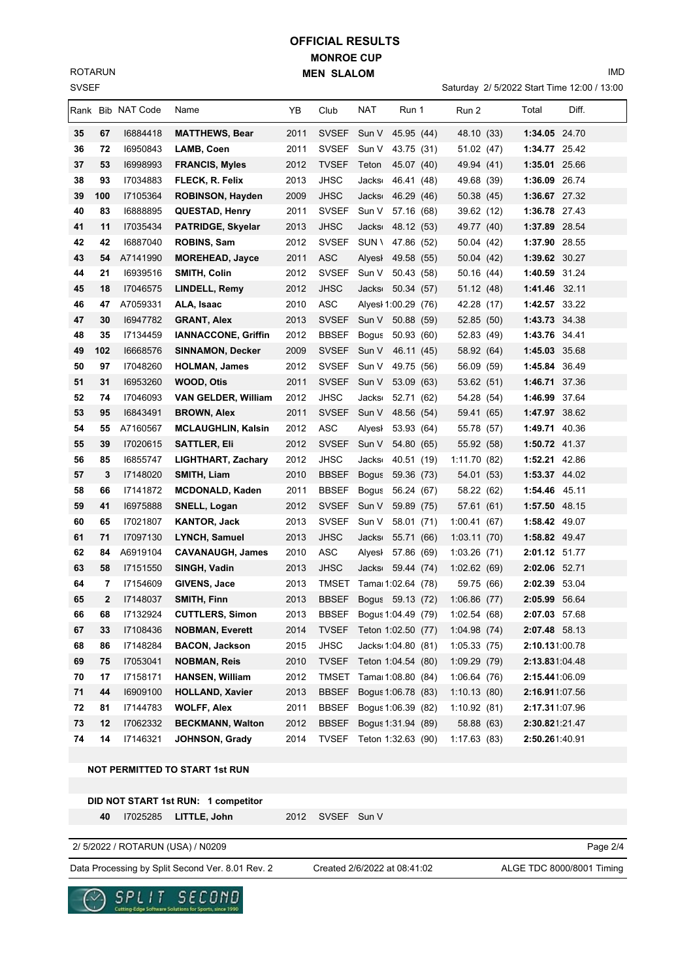SVSEF ROTARUN

# **MONROE CUP MEN SLALOM OFFICIAL RESULTS**

Saturday 2/ 5/2022 Start Time 12:00 / 13:00

IMD

|    |                | Rank Bib NAT Code | Name                       | ΥB   | Club         | NAT                | Run 1               | Run 2        | Total          | Diff. |
|----|----------------|-------------------|----------------------------|------|--------------|--------------------|---------------------|--------------|----------------|-------|
| 35 | 67             | 16884418          | <b>MATTHEWS, Bear</b>      | 2011 | <b>SVSEF</b> | Sun V              | 45.95 (44)          | 48.10 (33)   | 1:34.05 24.70  |       |
| 36 | 72             | 16950843          | LAMB, Coen                 | 2011 | <b>SVSEF</b> | Sun V              | 43.75 (31)          | 51.02 (47)   | 1:34.77 25.42  |       |
| 37 | 53             | 16998993          | <b>FRANCIS, Myles</b>      | 2012 | <b>TVSEF</b> | Teton              | 45.07 (40)          | 49.94 (41)   | 1:35.01 25.66  |       |
| 38 | 93             | 17034883          | FLECK, R. Felix            | 2013 | JHSC         | <b>Jacks</b>       | 46.41 (48)          | 49.68 (39)   | 1:36.09 26.74  |       |
| 39 | 100            | 17105364          | <b>ROBINSON, Hayden</b>    | 2009 | <b>JHSC</b>  | <b>Jacks</b>       | 46.29 (46)          | 50.38 (45)   | 1:36.67 27.32  |       |
| 40 | 83             | 16888895          | <b>QUESTAD, Henry</b>      | 2011 | <b>SVSEF</b> | Sun V              | 57.16 (68)          | 39.62 (12)   | 1:36.78 27.43  |       |
| 41 | 11             | 17035434          | <b>PATRIDGE, Skyelar</b>   | 2013 | <b>JHSC</b>  | <b>Jacks</b>       | 48.12 (53)          | 49.77 (40)   | 1:37.89 28.54  |       |
| 42 | 42             | 16887040          | <b>ROBINS, Sam</b>         | 2012 | <b>SVSEF</b> | <b>SUN</b> \       | 47.86 (52)          | 50.04 (42)   | 1:37.90 28.55  |       |
| 43 | 54             | A7141990          | <b>MOREHEAD, Jayce</b>     | 2011 | <b>ASC</b>   | Alyesl             | 49.58 (55)          | 50.04 (42)   | 1:39.62 30.27  |       |
| 44 | 21             | 16939516          | SMITH, Colin               | 2012 | <b>SVSEF</b> | Sun V              | 50.43 (58)          | 50.16 (44)   | 1:40.59 31.24  |       |
| 45 | 18             | 17046575          | LINDELL, Remy              | 2012 | <b>JHSC</b>  | <b>Jacks</b>       | 50.34 (57)          | 51.12 (48)   | 1:41.46 32.11  |       |
| 46 | 47             | A7059331          | ALA, Isaac                 | 2010 | <b>ASC</b>   |                    | Alyesi 1:00.29 (76) | 42.28 (17)   | 1:42.57 33.22  |       |
| 47 | 30             | 16947782          | <b>GRANT, Alex</b>         | 2013 | <b>SVSEF</b> | Sun V              | 50.88 (59)          | 52.85 (50)   | 1:43.73 34.38  |       |
| 48 | 35             | 17134459          | <b>IANNACCONE, Griffin</b> | 2012 | <b>BBSEF</b> | <b>Bogus</b>       | 50.93 (60)          | 52.83 (49)   | 1:43.76 34.41  |       |
| 49 | 102            | 16668576          | <b>SINNAMON, Decker</b>    | 2009 | <b>SVSEF</b> | Sun V              | 46.11 (45)          | 58.92 (64)   | 1:45.03 35.68  |       |
| 50 | 97             | 17048260          | <b>HOLMAN, James</b>       | 2012 | <b>SVSEF</b> | Sun V              | 49.75 (56)          | 56.09 (59)   | 1:45.84 36.49  |       |
| 51 | 31             | 16953260          | WOOD, Otis                 | 2011 | <b>SVSEF</b> | Sun V              | 53.09 (63)          | 53.62 (51)   | 1:46.71 37.36  |       |
| 52 | 74             | 17046093          | <b>VAN GELDER, William</b> | 2012 | <b>JHSC</b>  | <b>Jacks</b>       | 52.71 (62)          | 54.28 (54)   | 1:46.99 37.64  |       |
| 53 | 95             | 16843491          | <b>BROWN, Alex</b>         | 2011 | <b>SVSEF</b> | Sun V              | 48.56 (54)          | 59.41 (65)   | 1:47.97 38.62  |       |
| 54 | 55             | A7160567          | <b>MCLAUGHLIN, Kalsin</b>  | 2012 | <b>ASC</b>   | Alyesl             | 53.93 (64)          | 55.78 (57)   | 1:49.71 40.36  |       |
| 55 | 39             | 17020615          | <b>SATTLER, Eli</b>        | 2012 | <b>SVSEF</b> | Sun V              | 54.80 (65)          | 55.92 (58)   | 1:50.72 41.37  |       |
| 56 | 85             | 16855747          | <b>LIGHTHART, Zachary</b>  | 2012 | <b>JHSC</b>  | <b>Jacks</b>       | 40.51 (19)          | 1:11.70(82)  | 1:52.21 42.86  |       |
| 57 | 3              | 17148020          | SMITH, Liam                | 2010 | <b>BBSEF</b> | <b>Bogus</b>       | 59.36 (73)          | 54.01 (53)   | 1:53.37 44.02  |       |
| 58 | 66             | 17141872          | <b>MCDONALD, Kaden</b>     | 2011 | <b>BBSEF</b> | <b>Bogus</b>       | 56.24 (67)          | 58.22 (62)   | 1:54.46 45.11  |       |
| 59 | 41             | 16975888          | SNELL, Logan               | 2012 | <b>SVSEF</b> | Sun V              | 59.89 (75)          | 57.61 (61)   | 1:57.50 48.15  |       |
| 60 | 65             | 17021807          | <b>KANTOR, Jack</b>        | 2013 | <b>SVSEF</b> | Sun V              | 58.01 (71)          | 1:00.41(67)  | 1:58.42 49.07  |       |
| 61 | 71             | 17097130          | <b>LYNCH, Samuel</b>       | 2013 | <b>JHSC</b>  | Jacks              | 55.71 (66)          | 1:03.11(70)  | 1:58.82 49.47  |       |
| 62 | 84             | A6919104          | <b>CAVANAUGH, James</b>    | 2010 | ASC          | AlyesI             | 57.86 (69)          | 1:03.26 (71) | 2:01.12 51.77  |       |
| 63 | 58             | 17151550          | SINGH, Vadin               | 2013 | JHSC         | <b>Jacks</b>       | 59.44 (74)          | 1:02.62(69)  | 2:02.06 52.71  |       |
| 64 | 7              | 17154609          | GIVENS, Jace               | 2013 | TMSET        | Tama 1:02.64 (78)  |                     | 59.75 (66)   | 2:02.39 53.04  |       |
| 65 | $\overline{2}$ | 17148037          | <b>SMITH, Finn</b>         | 2013 | <b>BBSEF</b> | Bogus 59.13 (72)   |                     | 1:06.86(77)  | 2:05.99 56.64  |       |
| 66 | 68             | 17132924          | <b>CUTTLERS, Simon</b>     | 2013 | <b>BBSEF</b> | Bogus 1:04.49 (79) |                     | 1:02.54 (68) | 2:07.03 57.68  |       |
| 67 | 33             | 17108436          | <b>NOBMAN, Everett</b>     | 2014 | <b>TVSEF</b> | Teton 1:02.50 (77) |                     | 1:04.98(74)  | 2:07.48 58.13  |       |
| 68 | 86             | 17148284          | <b>BACON, Jackson</b>      | 2015 | JHSC         | Jacks 1:04.80 (81) |                     | 1:05.33(75)  | 2:10.131:00.78 |       |
| 69 | 75             | 17053041          | NOBMAN, Reis               | 2010 | <b>TVSEF</b> | Teton 1:04.54 (80) |                     | 1:09.29 (79) | 2:13.831:04.48 |       |
| 70 | 17             | 17158171          | <b>HANSEN, William</b>     | 2012 | <b>TMSET</b> | Tama 1:08.80 (84)  |                     | 1:06.64(76)  | 2:15.441:06.09 |       |
| 71 | 44             | 16909100          | <b>HOLLAND, Xavier</b>     | 2013 | <b>BBSEF</b> | Bogus 1:06.78 (83) |                     | 1:10.13(80)  | 2:16.911:07.56 |       |
| 72 | 81             | 17144783          | <b>WOLFF, Alex</b>         | 2011 | <b>BBSEF</b> | Bogus 1:06.39 (82) |                     | 1:10.92(81)  | 2:17.311:07.96 |       |
| 73 | 12             | 17062332          | <b>BECKMANN, Walton</b>    | 2012 | <b>BBSEF</b> | Bogus 1:31.94 (89) |                     | 58.88 (63)   | 2:30.821:21.47 |       |
| 74 | 14             | 17146321          | JOHNSON, Grady             | 2014 | <b>TVSEF</b> | Teton 1:32.63 (90) |                     | 1:17.63(83)  | 2:50.261:40.91 |       |

#### **NOT PERMITTED TO START 1st RUN**

**DID NOT START 1st RUN: 1 competitor**

40 I7025285 LITTLE, John 2012 SVSEF Sun V

2/ 5/2022 / ROTARUN (USA) / N0209

Data Processing by Split Second Ver. 8.01 Rev. 2 Created 2/6/2022 at 08:41:02 ALGE TDC 8000/8001 Timing

Created 2/6/2022 at 08:41:02

Page 2/4

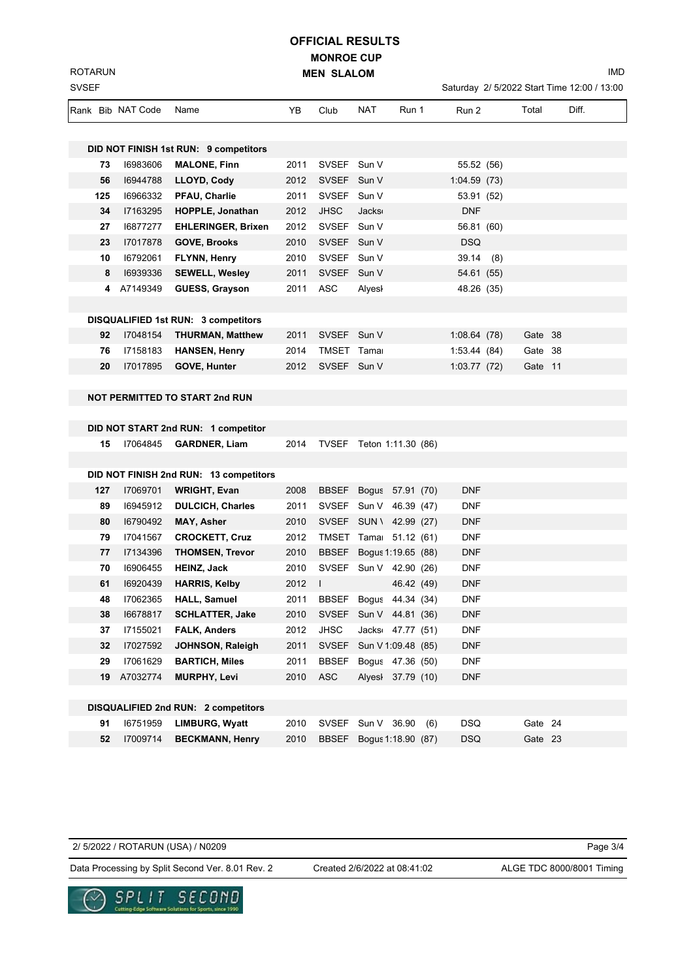**MONROE CUP MEN SLALOM OFFICIAL RESULTS**

Saturday 2/ 5/2022 Start Time 12:00 / 13:00

|     | Rank Bib NAT Code | Name                                   | YB   | Club         | NAT<br>Run 1                  | Run 2                    | Total | Diff.   |
|-----|-------------------|----------------------------------------|------|--------------|-------------------------------|--------------------------|-------|---------|
|     |                   |                                        |      |              |                               |                          |       |         |
|     |                   | DID NOT FINISH 1st RUN: 9 competitors  |      |              |                               |                          |       |         |
| 73  | 16983606          | <b>MALONE, Finn</b>                    | 2011 | SVSEF Sun V  |                               | 55.52 (56)               |       |         |
| 56  | 16944788          | LLOYD, Cody                            | 2012 | SVSEF Sun V  |                               | 1:04.59(73)              |       |         |
| 125 | 16966332          | <b>PFAU, Charlie</b>                   | 2011 | SVSEF Sun V  |                               | 53.91 (52)               |       |         |
| 34  | I7163295          | HOPPLE, Jonathan                       | 2012 | <b>JHSC</b>  | <b>Jacks</b>                  | <b>DNF</b>               |       |         |
| 27  | 16877277          | <b>EHLERINGER, Brixen</b>              | 2012 | SVSEF Sun V  |                               | 56.81 (60)               |       |         |
| 23  | 17017878          | <b>GOVE, Brooks</b>                    | 2010 | SVSEF Sun V  |                               | <b>DSQ</b>               |       |         |
| 10  | 16792061          | FLYNN, Henry                           | 2010 | SVSEF Sun V  |                               | 39.14(8)                 |       |         |
| 8   | 16939336          | <b>SEWELL, Wesley</b>                  | 2011 | <b>SVSEF</b> | Sun V                         | 54.61 (55)               |       |         |
|     | 4 A7149349        | <b>GUESS, Grayson</b>                  | 2011 | ASC          | Alyesl                        | 48.26 (35)               |       |         |
|     |                   |                                        |      |              |                               |                          |       |         |
|     |                   | DISQUALIFIED 1st RUN: 3 competitors    |      |              |                               |                          |       |         |
| 92  | 17048154          | <b>THURMAN, Matthew</b>                | 2011 | SVSEF Sun V  |                               | 1:08.64(78)              |       | Gate 38 |
| 76  | 17158183          | <b>HANSEN, Henry</b>                   | 2014 | TMSET Tamar  |                               | 1:53.44(84)              |       | Gate 38 |
| 20  | 17017895          | GOVE, Hunter                           | 2012 | SVSEF Sun V  |                               | 1:03.77(72)              |       | Gate 11 |
|     |                   |                                        |      |              |                               |                          |       |         |
|     |                   | <b>NOT PERMITTED TO START 2nd RUN</b>  |      |              |                               |                          |       |         |
|     |                   |                                        |      |              |                               |                          |       |         |
|     |                   | DID NOT START 2nd RUN: 1 competitor    |      |              |                               |                          |       |         |
| 15  |                   | 17064845 <b>GARDNER, Liam</b>          |      |              | 2014 TVSEF Teton 1:11.30 (86) |                          |       |         |
|     |                   |                                        |      |              |                               |                          |       |         |
|     |                   | DID NOT FINISH 2nd RUN: 13 competitors |      |              |                               |                          |       |         |
| 127 | 17069701          | <b>WRIGHT, Evan</b>                    | 2008 |              | BBSEF Bogus 57.91 (70)        | <b>DNF</b>               |       |         |
| 89  | 16945912          | <b>DULCICH, Charles</b>                | 2011 |              | SVSEF Sun V 46.39 (47)        | <b>DNF</b>               |       |         |
| 80  | 16790492          | <b>MAY, Asher</b>                      | 2010 |              | SVSEF SUN \ 42.99 (27)        | <b>DNF</b>               |       |         |
| 79  | 17041567          | <b>CROCKETT, Cruz</b>                  | 2012 |              | TMSET Tama: 51.12 (61)        | <b>DNF</b>               |       |         |
| 77  | 17134396          | <b>THOMSEN, Trevor</b>                 | 2010 | <b>BBSEF</b> | Bogus 1:19.65 (88)            | <b>DNF</b>               |       |         |
| 70  | 16906455          | <b>HEINZ, Jack</b>                     | 2010 |              | SVSEF Sun V 42.90 (26)        | <b>DNF</b>               |       |         |
| 61  | 16920439          | <b>HARRIS, Kelby</b>                   | 2012 | $\perp$      |                               | 46.42 (49)<br><b>DNF</b> |       |         |
| 48  | 17062365          | <b>HALL, Samuel</b>                    | 2011 |              | BBSEF Bogus 44.34 (34)        | <b>DNF</b>               |       |         |
| 38  | 16678817          | <b>SCHLATTER, Jake</b>                 | 2010 |              | SVSEF Sun V 44.81 (36)        | <b>DNF</b>               |       |         |
| 37  | 17155021          | <b>FALK, Anders</b>                    | 2012 | <b>JHSC</b>  | Jacks 47.77 (51)              | <b>DNF</b>               |       |         |
| 32  | 17027592          | JOHNSON, Raleigh                       | 2011 | SVSEF        | Sun V 1:09.48 (85)            | <b>DNF</b>               |       |         |
| 29  | 17061629          | <b>BARTICH, Miles</b>                  | 2011 | <b>BBSEF</b> | Bogus 47.36 (50)              | <b>DNF</b>               |       |         |
| 19  | A7032774          | <b>MURPHY, Levi</b>                    | 2010 | <b>ASC</b>   | Alyesi 37.79 (10)             | <b>DNF</b>               |       |         |
|     |                   |                                        |      |              |                               |                          |       |         |
|     |                   | DISQUALIFIED 2nd RUN: 2 competitors    |      |              |                               |                          |       |         |
| 91  | 16751959          | <b>LIMBURG, Wyatt</b>                  | 2010 | SVSEF        | Sun V 36.90                   | <b>DSQ</b><br>(6)        |       | Gate 24 |
| 52  | 17009714          | <b>BECKMANN, Henry</b>                 | 2010 | <b>BBSEF</b> | Bogus 1:18.90 (87)            | <b>DSQ</b>               |       | Gate 23 |

2/ 5/2022 / ROTARUN (USA) / N0209

SVSEF ROTARUN

Data Processing by Split Second Ver. 8.01 Rev. 2 Created 2/6/2022 at 08:41:02 ALGE TDC 8000/8001 Timing Created 2/6/2022 at 08:41:02

Page 3/4



IMD